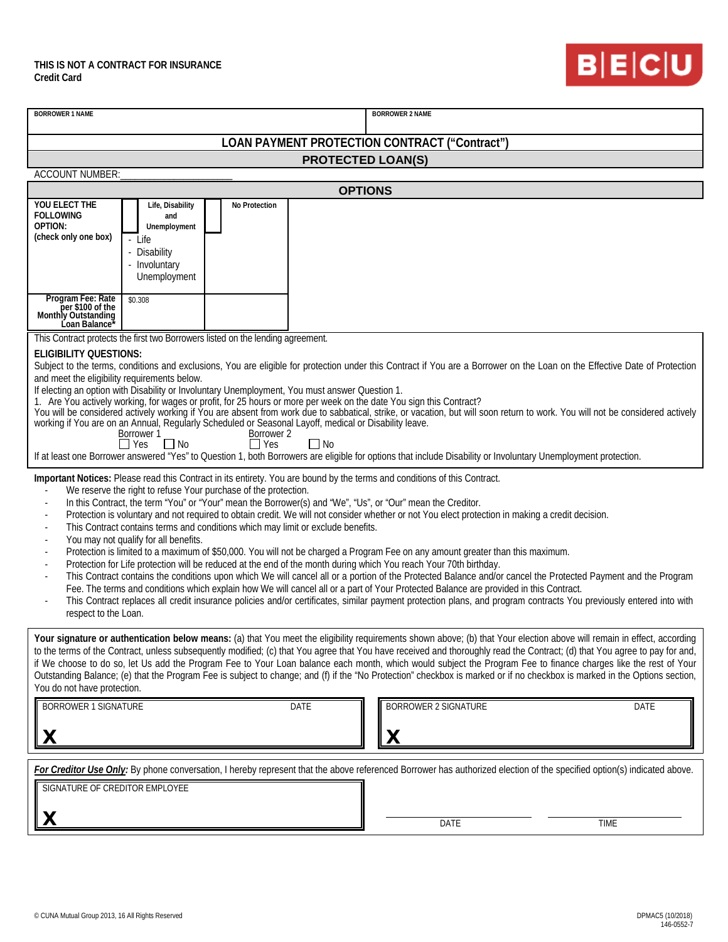

| <b>BORROWER 1 NAME</b>                                                                                                                                                                                                                                                                                                                                |                               |               |             |  | <b>BORROWER 2 NAME</b>      |      |
|-------------------------------------------------------------------------------------------------------------------------------------------------------------------------------------------------------------------------------------------------------------------------------------------------------------------------------------------------------|-------------------------------|---------------|-------------|--|-----------------------------|------|
| LOAN PAYMENT PROTECTION CONTRACT ("Contract")                                                                                                                                                                                                                                                                                                         |                               |               |             |  |                             |      |
| <b>PROTECTED LOAN(S)</b>                                                                                                                                                                                                                                                                                                                              |                               |               |             |  |                             |      |
| <b>ACCOUNT NUMBER:</b><br><b>OPTIONS</b>                                                                                                                                                                                                                                                                                                              |                               |               |             |  |                             |      |
| YOU ELECT THE                                                                                                                                                                                                                                                                                                                                         | Life, Disability              | No Protection |             |  |                             |      |
| <b>FOLLOWING</b><br>OPTION:                                                                                                                                                                                                                                                                                                                           | and<br>Unemployment           |               |             |  |                             |      |
| (check only one box)                                                                                                                                                                                                                                                                                                                                  | - Life                        |               |             |  |                             |      |
|                                                                                                                                                                                                                                                                                                                                                       | - Disability<br>- Involuntary |               |             |  |                             |      |
|                                                                                                                                                                                                                                                                                                                                                       | Unemployment                  |               |             |  |                             |      |
| Program Fee: Rate                                                                                                                                                                                                                                                                                                                                     | \$0.308                       |               |             |  |                             |      |
| per \$100 of the<br>Monthly Outstanding<br>Loan Balance*                                                                                                                                                                                                                                                                                              |                               |               |             |  |                             |      |
| This Contract protects the first two Borrowers listed on the lending agreement.                                                                                                                                                                                                                                                                       |                               |               |             |  |                             |      |
| <b>ELIGIBILITY OUESTIONS:</b><br>Subject to the terms, conditions and exclusions, You are eligible for protection under this Contract if You are a Borrower on the Loan on the Effective Date of Protection                                                                                                                                           |                               |               |             |  |                             |      |
| and meet the eligibility requirements below.                                                                                                                                                                                                                                                                                                          |                               |               |             |  |                             |      |
| If electing an option with Disability or Involuntary Unemployment, You must answer Question 1.<br>1. Are You actively working, for wages or profit, for 25 hours or more per week on the date You sign this Contract?                                                                                                                                 |                               |               |             |  |                             |      |
| You will be considered actively working if You are absent from work due to sabbatical, strike, or vacation, but will soon return to work. You will not be considered actively<br>working if You are on an Annual, Regularly Scheduled or Seasonal Layoff, medical or Disability leave.                                                                |                               |               |             |  |                             |      |
| Borrower 2<br>Borrower 1<br>$\Box$ Yes<br>$\Box$ Yes<br>$\Box$ No<br>$\Box$ No                                                                                                                                                                                                                                                                        |                               |               |             |  |                             |      |
| If at least one Borrower answered "Yes" to Question 1, both Borrowers are eligible for options that include Disability or Involuntary Unemployment protection.                                                                                                                                                                                        |                               |               |             |  |                             |      |
| Important Notices: Please read this Contract in its entirety. You are bound by the terms and conditions of this Contract.<br>We reserve the right to refuse Your purchase of the protection.                                                                                                                                                          |                               |               |             |  |                             |      |
| In this Contract, the term "You" or "Your" mean the Borrower(s) and "We", "Us", or "Our" mean the Creditor.                                                                                                                                                                                                                                           |                               |               |             |  |                             |      |
| Protection is voluntary and not required to obtain credit. We will not consider whether or not You elect protection in making a credit decision.<br>This Contract contains terms and conditions which may limit or exclude benefits.                                                                                                                  |                               |               |             |  |                             |      |
| You may not qualify for all benefits.<br>Protection is limited to a maximum of \$50,000. You will not be charged a Program Fee on any amount greater than this maximum.                                                                                                                                                                               |                               |               |             |  |                             |      |
| Protection for Life protection will be reduced at the end of the month during which You reach Your 70th birthday.                                                                                                                                                                                                                                     |                               |               |             |  |                             |      |
| This Contract contains the conditions upon which We will cancel all or a portion of the Protected Balance and/or cancel the Protected Payment and the Program<br>Fee. The terms and conditions which explain how We will cancel all or a part of Your Protected Balance are provided in this Contract.                                                |                               |               |             |  |                             |      |
| This Contract replaces all credit insurance policies and/or certificates, similar payment protection plans, and program contracts You previously entered into with<br>respect to the Loan.                                                                                                                                                            |                               |               |             |  |                             |      |
|                                                                                                                                                                                                                                                                                                                                                       |                               |               |             |  |                             |      |
| Your signature or authentication below means: (a) that You meet the eligibility requirements shown above; (b) that Your election above will remain in effect, according<br>to the terms of the Contract, unless subsequently modified; (c) that You agree that You have received and thoroughly read the Contract; (d) that You agree to pay for and, |                               |               |             |  |                             |      |
| if We choose to do so, let Us add the Program Fee to Your Loan balance each month, which would subject the Program Fee to finance charges like the rest of Your<br>Outstanding Balance; (e) that the Program Fee is subject to change; and (f) if the "No Protection" checkbox is marked or if no checkbox is marked in the Options section,          |                               |               |             |  |                             |      |
| You do not have protection.                                                                                                                                                                                                                                                                                                                           |                               |               |             |  |                             |      |
| <b>BORROWER 1 SIGNATURE</b>                                                                                                                                                                                                                                                                                                                           |                               |               | <b>DATE</b> |  | <b>BORROWER 2 SIGNATURE</b> | DATE |
|                                                                                                                                                                                                                                                                                                                                                       |                               |               |             |  |                             |      |
| X<br>X                                                                                                                                                                                                                                                                                                                                                |                               |               |             |  |                             |      |
| For Creditor Use Only: By phone conversation, I hereby represent that the above referenced Borrower has authorized election of the specified option(s) indicated above.                                                                                                                                                                               |                               |               |             |  |                             |      |
| SIGNATURE OF CREDITOR EMPLOYEE                                                                                                                                                                                                                                                                                                                        |                               |               |             |  |                             |      |
|                                                                                                                                                                                                                                                                                                                                                       |                               |               |             |  |                             |      |
| Х                                                                                                                                                                                                                                                                                                                                                     |                               |               |             |  | <b>DATE</b>                 | TIME |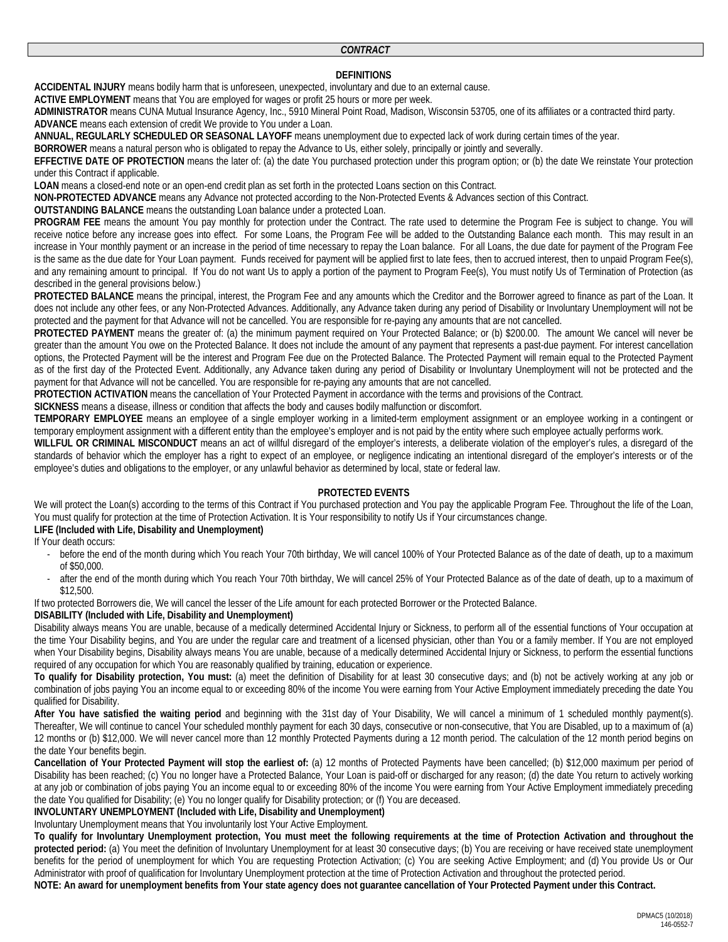### *CONTRACT*

## **DEFINITIONS**

**ACCIDENTAL INJURY** means bodily harm that is unforeseen, unexpected, involuntary and due to an external cause.

**ACTIVE EMPLOYMENT** means that You are employed for wages or profit 25 hours or more per week.

**ADMINISTRATOR** means CUNA Mutual Insurance Agency, Inc., 5910 Mineral Point Road, Madison, Wisconsin 53705, one of its affiliates or a contracted third party. **ADVANCE** means each extension of credit We provide to You under a Loan.

**ANNUAL, REGULARLY SCHEDULED OR SEASONAL LAYOFF** means unemployment due to expected lack of work during certain times of the year.

**BORROWER** means a natural person who is obligated to repay the Advance to Us, either solely, principally or jointly and severally.

**EFFECTIVE DATE OF PROTECTION** means the later of: (a) the date You purchased protection under this program option; or (b) the date We reinstate Your protection under this Contract if applicable.

**LOAN** means a closed-end note or an open-end credit plan as set forth in the protected Loans section on this Contract.

**NON-PROTECTED ADVANCE** means any Advance not protected according to the Non-Protected Events & Advances section of this Contract.

**OUTSTANDING BALANCE** means the outstanding Loan balance under a protected Loan.

**PROGRAM FEE** means the amount You pay monthly for protection under the Contract. The rate used to determine the Program Fee is subject to change. You will receive notice before any increase goes into effect. For some Loans, the Program Fee will be added to the Outstanding Balance each month. This may result in an increase in Your monthly payment or an increase in the period of time necessary to repay the Loan balance. For all Loans, the due date for payment of the Program Fee is the same as the due date for Your Loan payment. Funds received for payment will be applied first to late fees, then to accrued interest, then to unpaid Program Fee(s), and any remaining amount to principal. If You do not want Us to apply a portion of the payment to Program Fee(s), You must notify Us of Termination of Protection (as described in the general provisions below.)

**PROTECTED BALANCE** means the principal, interest, the Program Fee and any amounts which the Creditor and the Borrower agreed to finance as part of the Loan. It does not include any other fees, or any Non-Protected Advances. Additionally, any Advance taken during any period of Disability or Involuntary Unemployment will not be protected and the payment for that Advance will not be cancelled. You are responsible for re-paying any amounts that are not cancelled.

**PROTECTED PAYMENT** means the greater of: (a) the minimum payment required on Your Protected Balance; or (b) \$200.00. The amount We cancel will never be greater than the amount You owe on the Protected Balance. It does not include the amount of any payment that represents a past-due payment. For interest cancellation options, the Protected Payment will be the interest and Program Fee due on the Protected Balance. The Protected Payment will remain equal to the Protected Payment as of the first day of the Protected Event. Additionally, any Advance taken during any period of Disability or Involuntary Unemployment will not be protected and the payment for that Advance will not be cancelled. You are responsible for re-paying any amounts that are not cancelled.

**PROTECTION ACTIVATION** means the cancellation of Your Protected Payment in accordance with the terms and provisions of the Contract.

**SICKNESS** means a disease, illness or condition that affects the body and causes bodily malfunction or discomfort.

**TEMPORARY EMPLOYEE** means an employee of a single employer working in a limited-term employment assignment or an employee working in a contingent or temporary employment assignment with a different entity than the employee's employer and is not paid by the entity where such employee actually performs work.

**WILLFUL OR CRIMINAL MISCONDUCT** means an act of willful disregard of the employer's interests, a deliberate violation of the employer's rules, a disregard of the standards of behavior which the employer has a right to expect of an employee, or negligence indicating an intentional disregard of the employer's interests or of the employee's duties and obligations to the employer, or any unlawful behavior as determined by local, state or federal law.

### **PROTECTED EVENTS**

We will protect the Loan(s) according to the terms of this Contract if You purchased protection and You pay the applicable Program Fee. Throughout the life of the Loan, You must qualify for protection at the time of Protection Activation. It is Your responsibility to notify Us if Your circumstances change. **LIFE (Included with Life, Disability and Unemployment)**

If Your death occurs:

- before the end of the month during which You reach Your 70th birthday, We will cancel 100% of Your Protected Balance as of the date of death, up to a maximum of \$50,000.
- after the end of the month during which You reach Your 70th birthday, We will cancel 25% of Your Protected Balance as of the date of death, up to a maximum of \$12,500.

If two protected Borrowers die, We will cancel the lesser of the Life amount for each protected Borrower or the Protected Balance.

### **DISABILITY (Included with Life, Disability and Unemployment)**

Disability always means You are unable, because of a medically determined Accidental Injury or Sickness, to perform all of the essential functions of Your occupation at the time Your Disability begins, and You are under the regular care and treatment of a licensed physician, other than You or a family member. If You are not employed when Your Disability begins, Disability always means You are unable, because of a medically determined Accidental Injury or Sickness, to perform the essential functions required of any occupation for which You are reasonably qualified by training, education or experience.

**To qualify for Disability protection, You must:** (a) meet the definition of Disability for at least 30 consecutive days; and (b) not be actively working at any job or combination of jobs paying You an income equal to or exceeding 80% of the income You were earning from Your Active Employment immediately preceding the date You qualified for Disability.

**After You have satisfied the waiting period** and beginning with the 31st day of Your Disability, We will cancel a minimum of 1 scheduled monthly payment(s). Thereafter, We will continue to cancel Your scheduled monthly payment for each 30 days, consecutive or non-consecutive, that You are Disabled, up to a maximum of (a) 12 months or (b) \$12,000. We will never cancel more than 12 monthly Protected Payments during a 12 month period. The calculation of the 12 month period begins on the date Your benefits begin.

**Cancellation of Your Protected Payment will stop the earliest of:** (a) 12 months of Protected Payments have been cancelled; (b) \$12,000 maximum per period of Disability has been reached; (c) You no longer have a Protected Balance, Your Loan is paid-off or discharged for any reason; (d) the date You return to actively working at any job or combination of jobs paying You an income equal to or exceeding 80% of the income You were earning from Your Active Employment immediately preceding the date You qualified for Disability; (e) You no longer qualify for Disability protection; or (f) You are deceased.

# **INVOLUNTARY UNEMPLOYMENT (Included with Life, Disability and Unemployment)**

Involuntary Unemployment means that You involuntarily lost Your Active Employment.

**To qualify for Involuntary Unemployment protection, You must meet the following requirements at the time of Protection Activation and throughout the**  protected period: (a) You meet the definition of Involuntary Unemployment for at least 30 consecutive days; (b) You are receiving or have received state unemployment benefits for the period of unemployment for which You are requesting Protection Activation; (c) You are seeking Active Employment; and (d) You provide Us or Our Administrator with proof of qualification for Involuntary Unemployment protection at the time of Protection Activation and throughout the protected period.

**NOTE: An award for unemployment benefits from Your state agency does not guarantee cancellation of Your Protected Payment under this Contract.**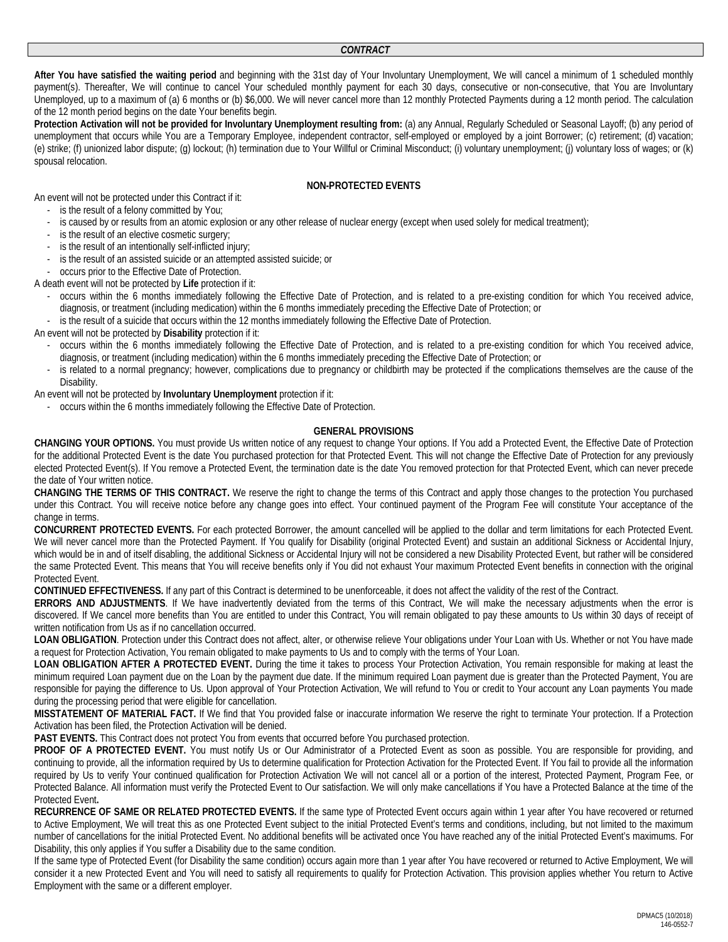**After You have satisfied the waiting period** and beginning with the 31st day of Your Involuntary Unemployment, We will cancel a minimum of 1 scheduled monthly payment(s). Thereafter, We will continue to cancel Your scheduled monthly payment for each 30 days, consecutive or non-consecutive, that You are Involuntary Unemployed, up to a maximum of (a) 6 months or (b) \$6,000. We will never cancel more than 12 monthly Protected Payments during a 12 month period. The calculation of the 12 month period begins on the date Your benefits begin.

Protection Activation will not be provided for Involuntary Unemployment resulting from: (a) any Annual, Regularly Scheduled or Seasonal Layoff; (b) any period of unemployment that occurs while You are a Temporary Employee, independent contractor, self-employed or employed by a joint Borrower; (c) retirement; (d) vacation; (e) strike; (f) unionized labor dispute; (g) lockout; (h) termination due to Your Willful or Criminal Misconduct; (i) voluntary unemployment; (j) voluntary loss of wages; or (k) spousal relocation.

### **NON-PROTECTED EVENTS**

An event will not be protected under this Contract if it: - is the result of a felony committed by You;

- is caused by or results from an atomic explosion or any other release of nuclear energy (except when used solely for medical treatment);
- is the result of an elective cosmetic surgery;
- is the result of an intentionally self-inflicted injury;
- is the result of an assisted suicide or an attempted assisted suicide; or
- occurs prior to the Effective Date of Protection.

A death event will not be protected by **Life** protection if it:

- occurs within the 6 months immediately following the Effective Date of Protection, and is related to a pre-existing condition for which You received advice, diagnosis, or treatment (including medication) within the 6 months immediately preceding the Effective Date of Protection; or
- is the result of a suicide that occurs within the 12 months immediately following the Effective Date of Protection.

An event will not be protected by **Disability** protection if it:

- occurs within the 6 months immediately following the Effective Date of Protection, and is related to a pre-existing condition for which You received advice, diagnosis, or treatment (including medication) within the 6 months immediately preceding the Effective Date of Protection; or
- is related to a normal pregnancy; however, complications due to pregnancy or childbirth may be protected if the complications themselves are the cause of the Disability.
- An event will not be protected by **Involuntary Unemployment** protection if it:
	- occurs within the 6 months immediately following the Effective Date of Protection.

### **GENERAL PROVISIONS**

**CHANGING YOUR OPTIONS.** You must provide Us written notice of any request to change Your options. If You add a Protected Event, the Effective Date of Protection for the additional Protected Event is the date You purchased protection for that Protected Event. This will not change the Effective Date of Protection for any previously elected Protected Event(s). If You remove a Protected Event, the termination date is the date You removed protection for that Protected Event, which can never precede the date of Your written notice.

**CHANGING THE TERMS OF THIS CONTRACT.** We reserve the right to change the terms of this Contract and apply those changes to the protection You purchased under this Contract. You will receive notice before any change goes into effect. Your continued payment of the Program Fee will constitute Your acceptance of the change in terms.

**CONCURRENT PROTECTED EVENTS.** For each protected Borrower, the amount cancelled will be applied to the dollar and term limitations for each Protected Event. We will never cancel more than the Protected Payment. If You qualify for Disability (original Protected Event) and sustain an additional Sickness or Accidental Injury, which would be in and of itself disabling, the additional Sickness or Accidental Injury will not be considered a new Disability Protected Event, but rather will be considered the same Protected Event. This means that You will receive benefits only if You did not exhaust Your maximum Protected Event benefits in connection with the original Protected Event.

**CONTINUED EFFECTIVENESS.** If any part of this Contract is determined to be unenforceable, it does not affect the validity of the rest of the Contract.

**ERRORS AND ADJUSTMENTS**. If We have inadvertently deviated from the terms of this Contract, We will make the necessary adjustments when the error is discovered. If We cancel more benefits than You are entitled to under this Contract, You will remain obligated to pay these amounts to Us within 30 days of receipt of written notification from Us as if no cancellation occurred.

LOAN OBLIGATION. Protection under this Contract does not affect, alter, or otherwise relieve Your obligations under Your Loan with Us. Whether or not You have made a request for Protection Activation, You remain obligated to make payments to Us and to comply with the terms of Your Loan.

**LOAN OBLIGATION AFTER A PROTECTED EVENT.** During the time it takes to process Your Protection Activation, You remain responsible for making at least the minimum required Loan payment due on the Loan by the payment due date. If the minimum required Loan payment due is greater than the Protected Payment, You are responsible for paying the difference to Us. Upon approval of Your Protection Activation, We will refund to You or credit to Your account any Loan payments You made during the processing period that were eligible for cancellation.

**MISSTATEMENT OF MATERIAL FACT.** If We find that You provided false or inaccurate information We reserve the right to terminate Your protection. If a Protection Activation has been filed, the Protection Activation will be denied.

**PAST EVENTS.** This Contract does not protect You from events that occurred before You purchased protection.

PROOF OF A PROTECTED EVENT. You must notify Us or Our Administrator of a Protected Event as soon as possible. You are responsible for providing, and continuing to provide, all the information required by Us to determine qualification for Protection Activation for the Protected Event. If You fail to provide all the information required by Us to verify Your continued qualification for Protection Activation We will not cancel all or a portion of the interest, Protected Payment, Program Fee, or Protected Balance. All information must verify the Protected Event to Our satisfaction. We will only make cancellations if You have a Protected Balance at the time of the Protected Event**.**

**RECURRENCE OF SAME OR RELATED PROTECTED EVENTS.** If the same type of Protected Event occurs again within 1 year after You have recovered or returned to Active Employment, We will treat this as one Protected Event subject to the initial Protected Event's terms and conditions, including, but not limited to the maximum number of cancellations for the initial Protected Event. No additional benefits will be activated once You have reached any of the initial Protected Event's maximums. For Disability, this only applies if You suffer a Disability due to the same condition.

If the same type of Protected Event (for Disability the same condition) occurs again more than 1 year after You have recovered or returned to Active Employment, We will consider it a new Protected Event and You will need to satisfy all requirements to qualify for Protection Activation. This provision applies whether You return to Active Employment with the same or a different employer.